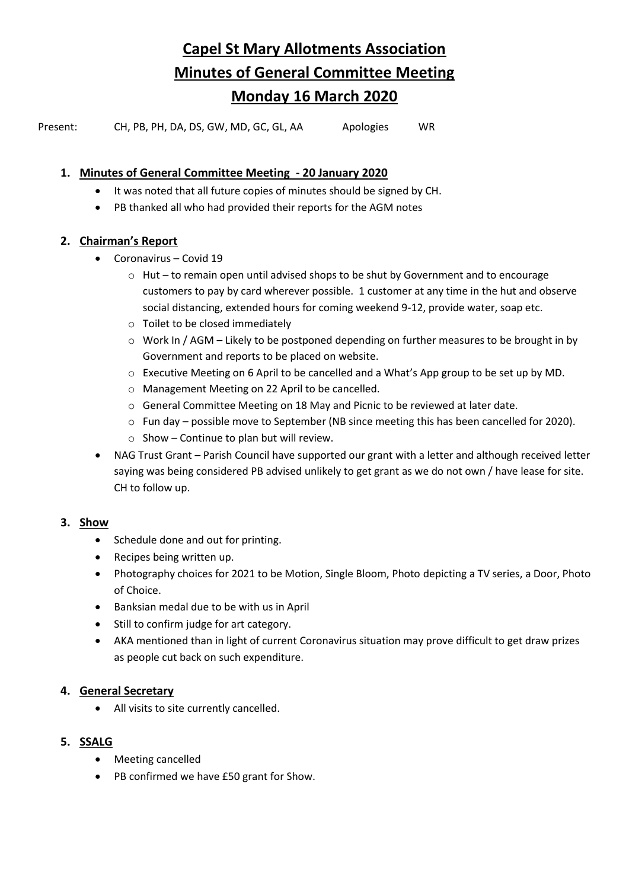**Capel St Mary Allotments Association Minutes of General Committee Meeting Monday 16 March 2020**

Present: CH, PB, PH, DA, DS, GW, MD, GC, GL, AA Apologies WR

## **1. Minutes of General Committee Meeting - 20 January 2020**

- It was noted that all future copies of minutes should be signed by CH.
- PB thanked all who had provided their reports for the AGM notes

## **2. Chairman's Report**

- Coronavirus Covid 19
	- $\circ$  Hut to remain open until advised shops to be shut by Government and to encourage customers to pay by card wherever possible. 1 customer at any time in the hut and observe social distancing, extended hours for coming weekend 9-12, provide water, soap etc.
	- o Toilet to be closed immediately
	- o Work In / AGM Likely to be postponed depending on further measures to be brought in by Government and reports to be placed on website.
	- o Executive Meeting on 6 April to be cancelled and a What's App group to be set up by MD.
	- o Management Meeting on 22 April to be cancelled.
	- o General Committee Meeting on 18 May and Picnic to be reviewed at later date.
	- $\circ$  Fun day possible move to September (NB since meeting this has been cancelled for 2020).
	- $\circ$  Show Continue to plan but will review.
- NAG Trust Grant Parish Council have supported our grant with a letter and although received letter saying was being considered PB advised unlikely to get grant as we do not own / have lease for site. CH to follow up.

#### **3. Show**

- Schedule done and out for printing.
- Recipes being written up.
- Photography choices for 2021 to be Motion, Single Bloom, Photo depicting a TV series, a Door, Photo of Choice.
- Banksian medal due to be with us in April
- Still to confirm judge for art category.
- AKA mentioned than in light of current Coronavirus situation may prove difficult to get draw prizes as people cut back on such expenditure.

#### **4. General Secretary**

• All visits to site currently cancelled.

# **5. SSALG**

- Meeting cancelled
- PB confirmed we have £50 grant for Show.